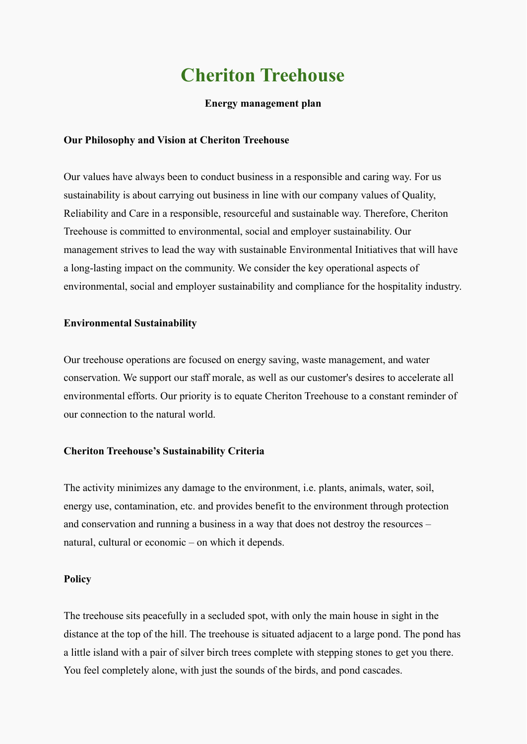# **Cheriton Treehouse**

#### **Energy management plan**

#### **Our Philosophy and Vision at Cheriton Treehouse**

Our values have always been to conduct business in a responsible and caring way. For us sustainability is about carrying out business in line with our company values of Quality, Reliability and Care in a responsible, resourceful and sustainable way. Therefore, Cheriton Treehouse is committed to environmental, social and employer sustainability. Our management strives to lead the way with sustainable Environmental Initiatives that will have a long-lasting impact on the community. We consider the key operational aspects of environmental, social and employer sustainability and compliance for the hospitality industry.

#### **Environmental Sustainability**

Our treehouse operations are focused on energy saving, waste management, and water conservation. We support our staff morale, as well as our customer's desires to accelerate all environmental efforts. Our priority is to equate Cheriton Treehouse to a constant reminder of our connection to the natural world.

#### **Cheriton Treehouse's Sustainability Criteria**

The activity minimizes any damage to the environment, i.e. plants, animals, water, soil, energy use, contamination, etc. and provides benefit to the environment through protection and conservation and running a business in a way that does not destroy the resources – natural, cultural or economic – on which it depends.

#### **Policy**

The treehouse sits peacefully in a secluded spot, with only the main house in sight in the distance at the top of the hill. The treehouse is situated adjacent to a large pond. The pond has a little island with a pair of silver birch trees complete with stepping stones to get you there. You feel completely alone, with just the sounds of the birds, and pond cascades.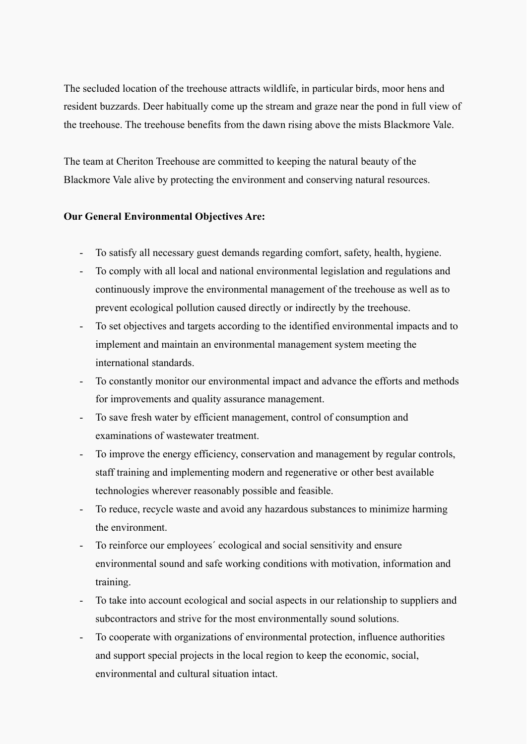The secluded location of the treehouse attracts wildlife, in particular birds, moor hens and resident buzzards. Deer habitually come up the stream and graze near the pond in full view of the treehouse. The treehouse benefits from the dawn rising above the mists Blackmore Vale.

The team at Cheriton Treehouse are committed to keeping the natural beauty of the Blackmore Vale alive by protecting the environment and conserving natural resources.

# **Our General Environmental Objectives Are:**

- To satisfy all necessary guest demands regarding comfort, safety, health, hygiene.
- To comply with all local and national environmental legislation and regulations and continuously improve the environmental management of the treehouse as well as to prevent ecological pollution caused directly or indirectly by the treehouse.
- To set objectives and targets according to the identified environmental impacts and to implement and maintain an environmental management system meeting the international standards.
- To constantly monitor our environmental impact and advance the efforts and methods for improvements and quality assurance management.
- To save fresh water by efficient management, control of consumption and examinations of wastewater treatment.
- To improve the energy efficiency, conservation and management by regular controls, staff training and implementing modern and regenerative or other best available technologies wherever reasonably possible and feasible.
- To reduce, recycle waste and avoid any hazardous substances to minimize harming the environment.
- To reinforce our employees´ ecological and social sensitivity and ensure environmental sound and safe working conditions with motivation, information and training.
- To take into account ecological and social aspects in our relationship to suppliers and subcontractors and strive for the most environmentally sound solutions.
- To cooperate with organizations of environmental protection, influence authorities and support special projects in the local region to keep the economic, social, environmental and cultural situation intact.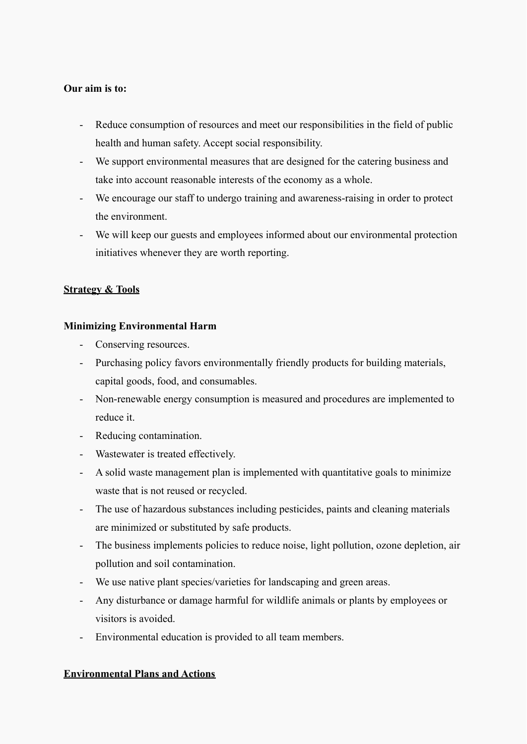#### **Our aim is to:**

- Reduce consumption of resources and meet our responsibilities in the field of public health and human safety. Accept social responsibility.
- We support environmental measures that are designed for the catering business and take into account reasonable interests of the economy as a whole.
- We encourage our staff to undergo training and awareness-raising in order to protect the environment.
- We will keep our guests and employees informed about our environmental protection initiatives whenever they are worth reporting.

# **Strategy & Tools**

#### **Minimizing Environmental Harm**

- Conserving resources.
- Purchasing policy favors environmentally friendly products for building materials, capital goods, food, and consumables.
- Non-renewable energy consumption is measured and procedures are implemented to reduce it.
- Reducing contamination.
- Wastewater is treated effectively.
- A solid waste management plan is implemented with quantitative goals to minimize waste that is not reused or recycled.
- The use of hazardous substances including pesticides, paints and cleaning materials are minimized or substituted by safe products.
- The business implements policies to reduce noise, light pollution, ozone depletion, air pollution and soil contamination.
- We use native plant species/varieties for landscaping and green areas.
- Any disturbance or damage harmful for wildlife animals or plants by employees or visitors is avoided.
- Environmental education is provided to all team members.

# **Environmental Plans and Actions**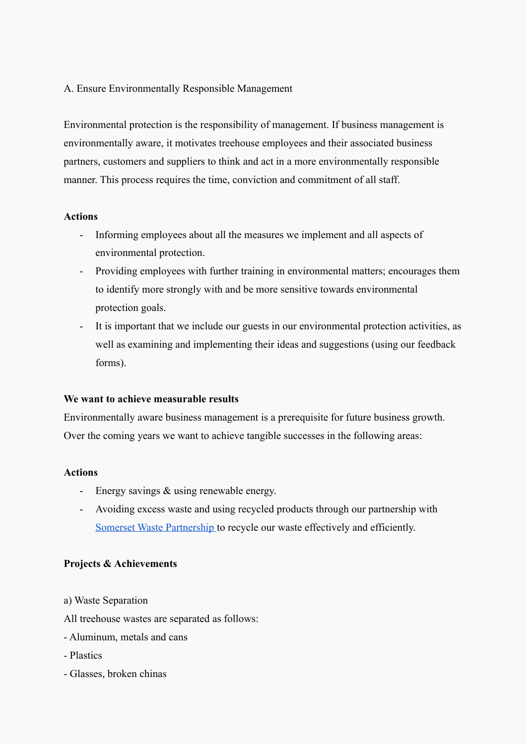A. Ensure Environmentally Responsible Management

Environmental protection is the responsibility of management. If business management is environmentally aware, it motivates treehouse employees and their associated business partners, customers and suppliers to think and act in a more environmentally responsible manner. This process requires the time, conviction and commitment of all staff.

#### **Actions**

- Informing employees about all the measures we implement and all aspects of environmental protection.
- Providing employees with further training in environmental matters; encourages them to identify more strongly with and be more sensitive towards environmental protection goals.
- It is important that we include our guests in our environmental protection activities, as well as examining and implementing their ideas and suggestions (using our feedback forms).

# **We want to achieve measurable results**

Environmentally aware business management is a prerequisite for future business growth. Over the coming years we want to achieve tangible successes in the following areas:

#### **Actions**

- Energy savings & using renewable energy.
- Avoiding excess waste and using recycled products through our partnership with [Somerset Waste Partnership](https://www.somersetwaste.gov.uk/) to recycle our waste effectively and efficiently.

#### **Projects & Achievements**

- a) Waste Separation
- All treehouse wastes are separated as follows:
- Aluminum, metals and cans
- Plastics
- Glasses, broken chinas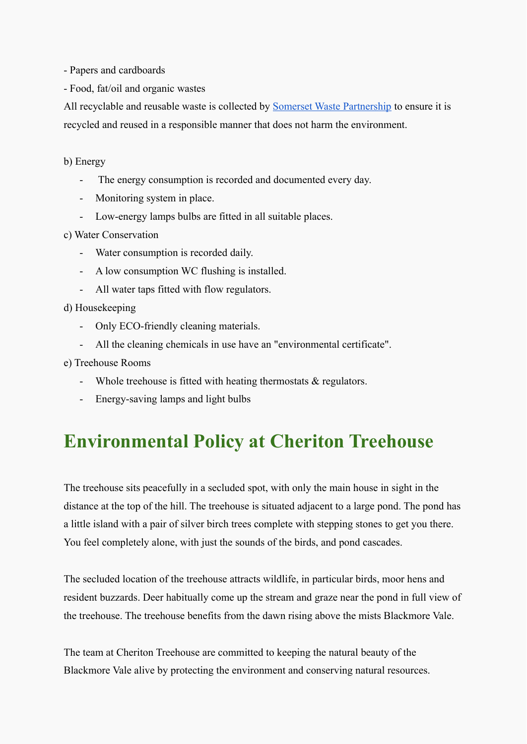- Papers and cardboards

- Food, fat/oil and organic wastes

All recyclable and reusable waste is collected by **[Somerset Waste Partnership](https://www.somersetwaste.gov.uk/)** to ensure it is recycled and reused in a responsible manner that does not harm the environment.

b) Energy

- The energy consumption is recorded and documented every day.
- Monitoring system in place.
- Low-energy lamps bulbs are fitted in all suitable places.

c) Water Conservation

- Water consumption is recorded daily.
- A low consumption WC flushing is installed.
- All water taps fitted with flow regulators.

d) Housekeeping

- Only ECO-friendly cleaning materials.
- All the cleaning chemicals in use have an "environmental certificate".
- e) Treehouse Rooms
	- Whole treehouse is fitted with heating thermostats & regulators.
	- Energy-saving lamps and light bulbs

# **Environmental Policy at Cheriton Treehouse**

The treehouse sits peacefully in a secluded spot, with only the main house in sight in the distance at the top of the hill. The treehouse is situated adjacent to a large pond. The pond has a little island with a pair of silver birch trees complete with stepping stones to get you there. You feel completely alone, with just the sounds of the birds, and pond cascades.

The secluded location of the treehouse attracts wildlife, in particular birds, moor hens and resident buzzards. Deer habitually come up the stream and graze near the pond in full view of the treehouse. The treehouse benefits from the dawn rising above the mists Blackmore Vale.

The team at Cheriton Treehouse are committed to keeping the natural beauty of the Blackmore Vale alive by protecting the environment and conserving natural resources.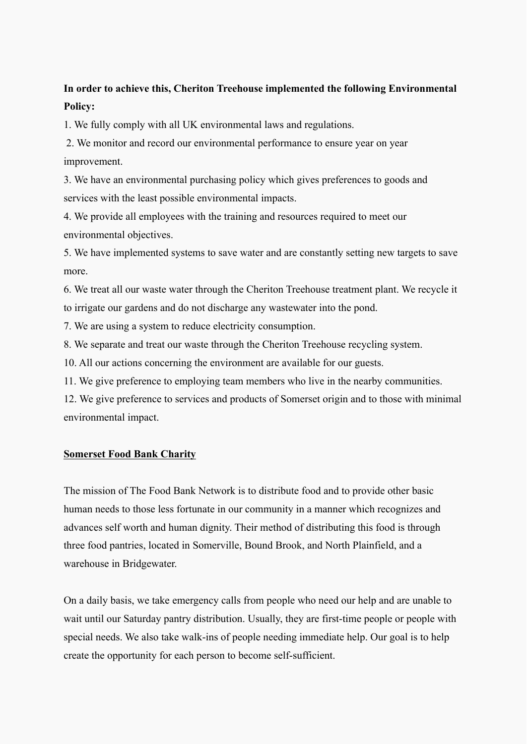# **In order to achieve this, Cheriton Treehouse implemented the following Environmental Policy:**

1. We fully comply with all UK environmental laws and regulations.

2. We monitor and record our environmental performance to ensure year on year improvement.

3. We have an environmental purchasing policy which gives preferences to goods and services with the least possible environmental impacts.

4. We provide all employees with the training and resources required to meet our environmental objectives.

5. We have implemented systems to save water and are constantly setting new targets to save more.

6. We treat all our waste water through the Cheriton Treehouse treatment plant. We recycle it to irrigate our gardens and do not discharge any wastewater into the pond.

7. We are using a system to reduce electricity consumption.

8. We separate and treat our waste through the Cheriton Treehouse recycling system.

10. All our actions concerning the environment are available for our guests.

11. We give preference to employing team members who live in the nearby communities.

12. We give preference to services and products of Somerset origin and to those with minimal environmental impact.

# **[Somerset Food Bank Charity](https://www.somersetfoodbank.org/)**

The mission of The Food Bank Network is to distribute food and to provide other basic human needs to those less fortunate in our community in a manner which recognizes and advances self worth and human dignity. Their method of distributing this food is through three food pantries, located in Somerville, Bound Brook, and North Plainfield, and a warehouse in Bridgewater.

On a daily basis, we take emergency calls from people who need our help and are unable to wait until our Saturday pantry distribution. Usually, they are first-time people or people with special needs. We also take walk-ins of people needing immediate help. Our goal is to help create the opportunity for each person to become self-sufficient.